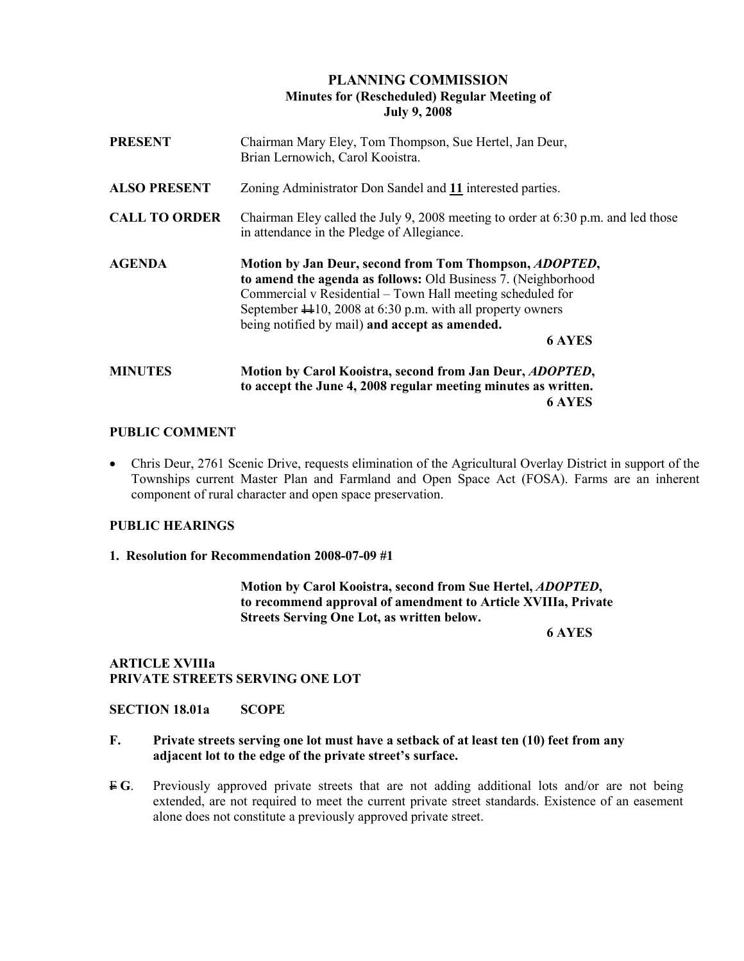# PLANNING COMMISSION Minutes for (Rescheduled) Regular Meeting of July 9, 2008

| <b>PRESENT</b>       | Chairman Mary Eley, Tom Thompson, Sue Hertel, Jan Deur,<br>Brian Lernowich, Carol Kooistra.                                                                                                                                                                                                                                                        |
|----------------------|----------------------------------------------------------------------------------------------------------------------------------------------------------------------------------------------------------------------------------------------------------------------------------------------------------------------------------------------------|
| <b>ALSO PRESENT</b>  | Zoning Administrator Don Sandel and 11 interested parties.                                                                                                                                                                                                                                                                                         |
| <b>CALL TO ORDER</b> | Chairman Eley called the July 9, 2008 meeting to order at $6:30$ p.m. and led those<br>in attendance in the Pledge of Allegiance.                                                                                                                                                                                                                  |
| <b>AGENDA</b>        | Motion by Jan Deur, second from Tom Thompson, <i>ADOPTED</i> ,<br>to amend the agenda as follows: Old Business 7. (Neighborhood<br>Commercial v Residential – Town Hall meeting scheduled for<br>September $\textcolor{blue}{+10}$ , 2008 at 6:30 p.m. with all property owners<br>being notified by mail) and accept as amended.<br><b>6 AYES</b> |
| <b>MINUTES</b>       | Motion by Carol Kooistra, second from Jan Deur, <i>ADOPTED</i> ,<br>to accept the June 4, 2008 regular meeting minutes as written.<br><b>6 AYES</b>                                                                                                                                                                                                |

### PUBLIC COMMENT

• Chris Deur, 2761 Scenic Drive, requests elimination of the Agricultural Overlay District in support of the Townships current Master Plan and Farmland and Open Space Act (FOSA). Farms are an inherent component of rural character and open space preservation.

### PUBLIC HEARINGS

1. Resolution for Recommendation 2008-07-09 #1

 Motion by Carol Kooistra, second from Sue Hertel, ADOPTED, to recommend approval of amendment to Article XVIIIa, Private Streets Serving One Lot, as written below.

6 AYES

## ARTICLE XVIIIa PRIVATE STREETS SERVING ONE LOT

#### SECTION 18.01a SCOPE

### F. Private streets serving one lot must have a setback of at least ten (10) feet from any adjacent lot to the edge of the private street's surface.

 $\overline{F} G$ . Previously approved private streets that are not adding additional lots and/or are not being extended, are not required to meet the current private street standards. Existence of an easement alone does not constitute a previously approved private street.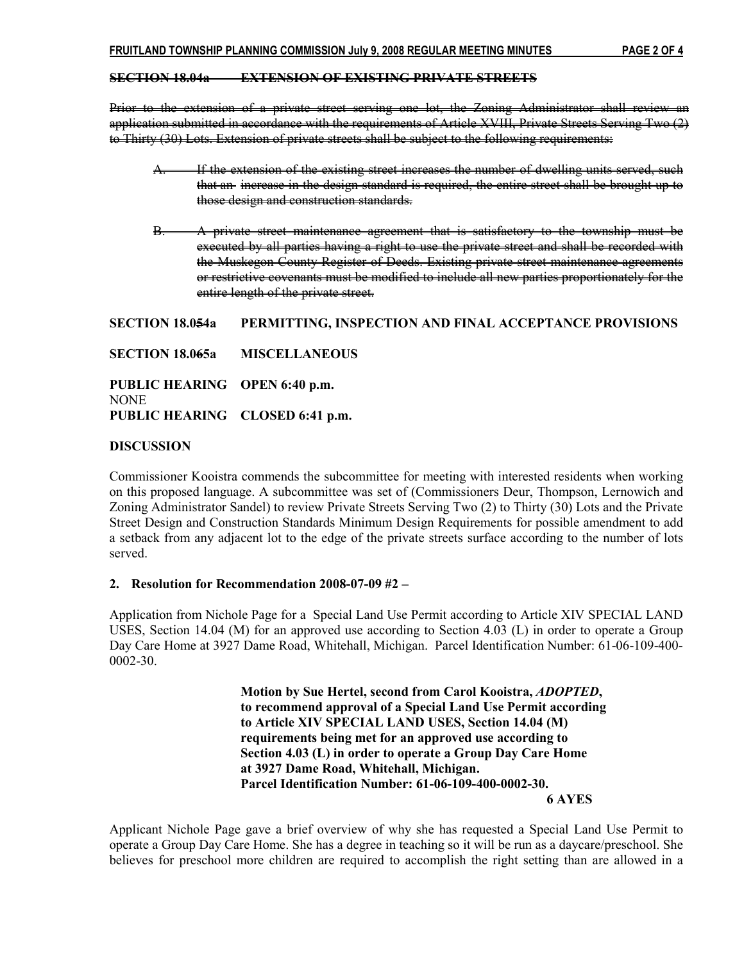### SECTION 18.04a EXTENSION OF EXISTING PRIVATE STREETS

Prior to the extension of a private street serving one lot, the Zoning Administrator shall review an application submitted in accordance with the requirements of Article XVIII, Private Streets Serving Two (2) to Thirty (30) Lots. Extension of private streets shall be subject to the following requirements:

- If the extension of the existing street increases the number of dwelling units served, such that an increase in the design standard is required, the entire street shall be brought up to those design and construction standards.
- B. A private street maintenance agreement that is satisfactory to the township must be executed by all parties having a right to use the private street and shall be recorded with the Muskegon County Register of Deeds. Existing private street maintenance agreements or restrictive covenants must be modified to include all new parties proportionately for the entire length of the private street.

SECTION 18.054a PERMITTING, INSPECTION AND FINAL ACCEPTANCE PROVISIONS

SECTION 18.065a MISCELLANEOUS

PUBLIC HEARING OPEN 6:40 p.m. **NONE** PUBLIC HEARING CLOSED 6:41 p.m.

### DISCUSSION

Commissioner Kooistra commends the subcommittee for meeting with interested residents when working on this proposed language. A subcommittee was set of (Commissioners Deur, Thompson, Lernowich and Zoning Administrator Sandel) to review Private Streets Serving Two (2) to Thirty (30) Lots and the Private Street Design and Construction Standards Minimum Design Requirements for possible amendment to add a setback from any adjacent lot to the edge of the private streets surface according to the number of lots served.

## 2. Resolution for Recommendation 2008-07-09 #2 –

Application from Nichole Page for a Special Land Use Permit according to Article XIV SPECIAL LAND USES, Section 14.04 (M) for an approved use according to Section 4.03 (L) in order to operate a Group Day Care Home at 3927 Dame Road, Whitehall, Michigan. Parcel Identification Number: 61-06-109-400- 0002-30.

> Motion by Sue Hertel, second from Carol Kooistra, ADOPTED, to recommend approval of a Special Land Use Permit according to Article XIV SPECIAL LAND USES, Section 14.04 (M) requirements being met for an approved use according to Section 4.03 (L) in order to operate a Group Day Care Home at 3927 Dame Road, Whitehall, Michigan. Parcel Identification Number: 61-06-109-400-0002-30.

6 AYES

Applicant Nichole Page gave a brief overview of why she has requested a Special Land Use Permit to operate a Group Day Care Home. She has a degree in teaching so it will be run as a daycare/preschool. She believes for preschool more children are required to accomplish the right setting than are allowed in a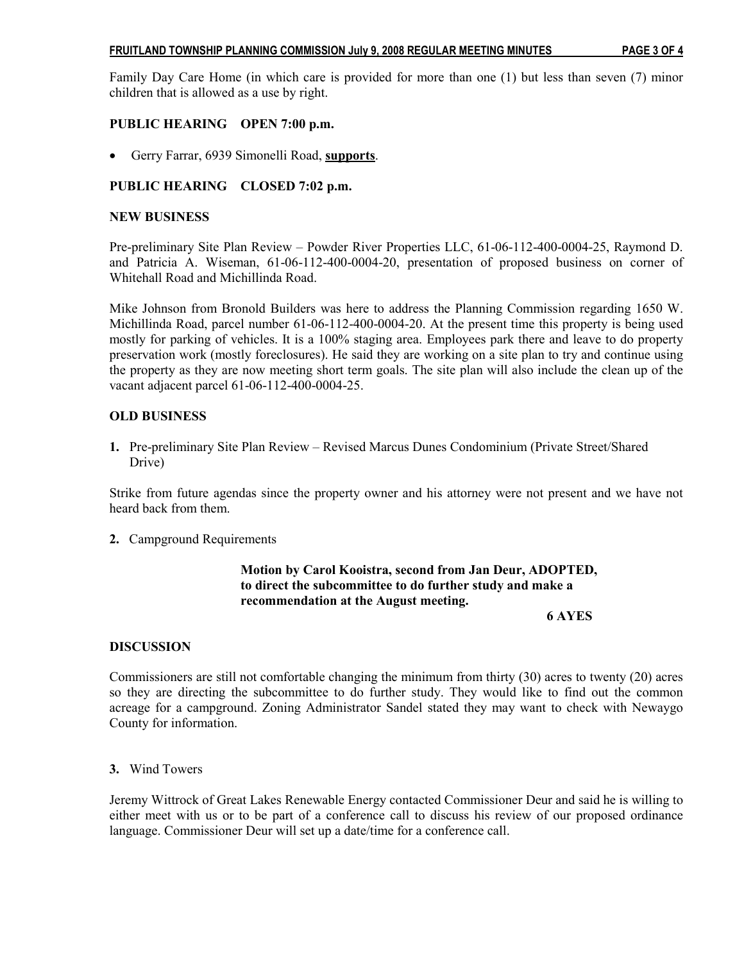Family Day Care Home (in which care is provided for more than one (1) but less than seven (7) minor children that is allowed as a use by right.

# PUBLIC HEARING OPEN 7:00 p.m.

• Gerry Farrar, 6939 Simonelli Road, supports.

# PUBLIC HEARING CLOSED 7:02 p.m.

## NEW BUSINESS

Pre-preliminary Site Plan Review – Powder River Properties LLC, 61-06-112-400-0004-25, Raymond D. and Patricia A. Wiseman, 61-06-112-400-0004-20, presentation of proposed business on corner of Whitehall Road and Michillinda Road.

Mike Johnson from Bronold Builders was here to address the Planning Commission regarding 1650 W. Michillinda Road, parcel number 61-06-112-400-0004-20. At the present time this property is being used mostly for parking of vehicles. It is a 100% staging area. Employees park there and leave to do property preservation work (mostly foreclosures). He said they are working on a site plan to try and continue using the property as they are now meeting short term goals. The site plan will also include the clean up of the vacant adjacent parcel 61-06-112-400-0004-25.

## OLD BUSINESS

1. Pre-preliminary Site Plan Review – Revised Marcus Dunes Condominium (Private Street/Shared Drive)

Strike from future agendas since the property owner and his attorney were not present and we have not heard back from them.

2. Campground Requirements

# Motion by Carol Kooistra, second from Jan Deur, ADOPTED, to direct the subcommittee to do further study and make a recommendation at the August meeting.

6 AYES

## **DISCUSSION**

Commissioners are still not comfortable changing the minimum from thirty (30) acres to twenty (20) acres so they are directing the subcommittee to do further study. They would like to find out the common acreage for a campground. Zoning Administrator Sandel stated they may want to check with Newaygo County for information.

3. Wind Towers

Jeremy Wittrock of Great Lakes Renewable Energy contacted Commissioner Deur and said he is willing to either meet with us or to be part of a conference call to discuss his review of our proposed ordinance language. Commissioner Deur will set up a date/time for a conference call.